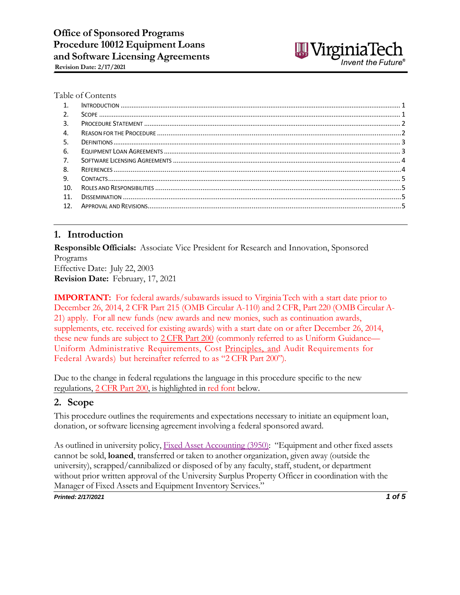

#### Table of Contents

| $\mathbf{1}$ |  |
|--------------|--|
| 2.           |  |
| 3.           |  |
| 4.           |  |
| 5.           |  |
| -6.          |  |
| 7.           |  |
| 8.           |  |
| 9.           |  |
| 10.          |  |
| 11.          |  |
| 12.          |  |

#### <span id="page-0-0"></span>**1. Introduction**

**Responsible Officials:** Associate Vice President for Research and Innovation, Sponsored Programs Effective Date: July 22, 2003 **Revision Date:** February, 17, 2021

**IMPORTANT:** For federal awards/subawards issued to Virginia Tech with a start date prior to December 26, 2014, 2 CFR Part 215 (OMB Circular A-110) and 2 CFR, Part 220 (OMB Circular A-21) apply. For all new funds (new awards and new monies, such as continuation awards, supplements, etc. received for existing awards) with a start date on or after December 26, 2014, these new funds are subject to [2 CFR](http://www.ecfr.gov/cgi-bin/text-idx?node=2%3A1.1.2.2.1) Part 200 (commonly referred to as Uniform Guidance— Uniform Administrative Requirements, Cost Principles, and Audit Requirements for Federal Awards) but hereinafter referred to as ["2 CFR](http://www.ecfr.gov/cgi-bin/text-idx?node=2%3A1.1.2.2.1) Part 200").

Due to the change in federal regulations the language in this procedure specific to the new regulations, [2 CFR](http://www.ecfr.gov/cgi-bin/text-idx?node=2%3A1.1.2.2.1) Part 200, is highlighted in red font below.

#### <span id="page-0-1"></span>**2. Scope**

This procedure outlines the requirements and expectations necessary to initiate an equipment loan, donation, or software licensing agreement involving a federal sponsored award.

As outlined in university policy, Fixed Asset [Accounting](http://www.policies.vt.edu/3950.pdf) (3950): "Equipment and other fixed assets cannot be sold, **loaned**, transferred or taken to another organization, given away (outside the university), scrapped/cannibalized or disposed of by any faculty, staff, student, or department without prior written approval of the University Surplus Property Officer in coordination with the Manager of Fixed Assets and Equipment Inventory Services."

*Printed: 2/17/2021 1 of 5*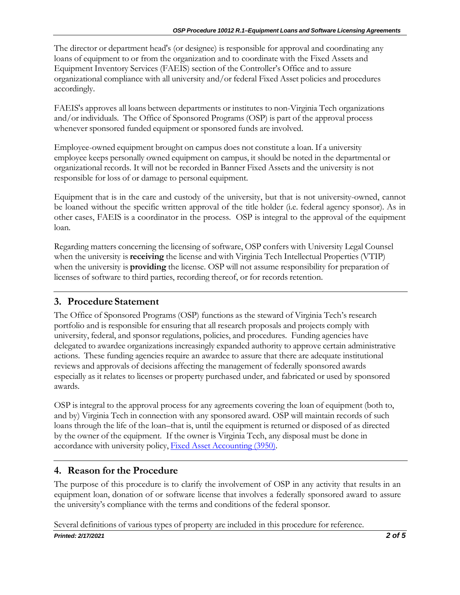The director or department head's (or designee) is responsible for approval and coordinating any loans of equipment to or from the organization and to coordinate with the Fixed Assets and Equipment Inventory Services (FAEIS) section of the Controller's Office and to assure organizational compliance with all university and/or federal Fixed Asset policies and procedures accordingly.

FAEIS's approves all loans between departments or institutes to non-Virginia Tech organizations and/or individuals. The Office of Sponsored Programs (OSP) is part of the approval process whenever sponsored funded equipment or sponsored funds are involved.

Employee-owned equipment brought on campus does not constitute a loan. If a university employee keeps personally owned equipment on campus, it should be noted in the departmental or organizational records. It will not be recorded in Banner Fixed Assets and the university is not responsible for loss of or damage to personal equipment.

Equipment that is in the care and custody of the university, but that is not university-owned, cannot be loaned without the specific written approval of the title holder (i.e. federal agency sponsor). As in other cases, FAEIS is a coordinator in the process. OSP is integral to the approval of the equipment loan.

Regarding matters concerning the licensing of software, OSP confers with University Legal Counsel when the university is **receiving** the license and with Virginia Tech Intellectual Properties (VTIP) when the university is **providing** the license. OSP will not assume responsibility for preparation of licenses of software to third parties, recording thereof, or for records retention.

## <span id="page-1-0"></span>**3. Procedure Statement**

The Office of Sponsored Programs (OSP) functions as the steward of Virginia Tech's research portfolio and is responsible for ensuring that all research proposals and projects comply with university, federal, and sponsor regulations, policies, and procedures. Funding agencies have delegated to awardee organizations increasingly expanded authority to approve certain administrative actions. These funding agencies require an awardee to assure that there are adequate institutional reviews and approvals of decisions affecting the management of federally sponsored awards especially as it relates to licenses or property purchased under, and fabricated or used by sponsored awards.

OSP is integral to the approval process for any agreements covering the loan of equipment (both to, and by) Virginia Tech in connection with any sponsored award. OSP will maintain records of such loans through the life of the loan–that is, until the equipment is returned or disposed of as directed by the owner of the equipment. If the owner is Virginia Tech, any disposal must be done in accordance with university policy, Fixed Asset [Accounting](http://www.policies.vt.edu/3950.pdf) (3950).

## <span id="page-1-1"></span>**4. Reason for the Procedure**

The purpose of this procedure is to clarify the involvement of OSP in any activity that results in an equipment loan, donation of or software license that involves a federally sponsored award to assure the university's compliance with the terms and conditions of the federal sponsor.

Several definitions of various types of property are included in this procedure for reference.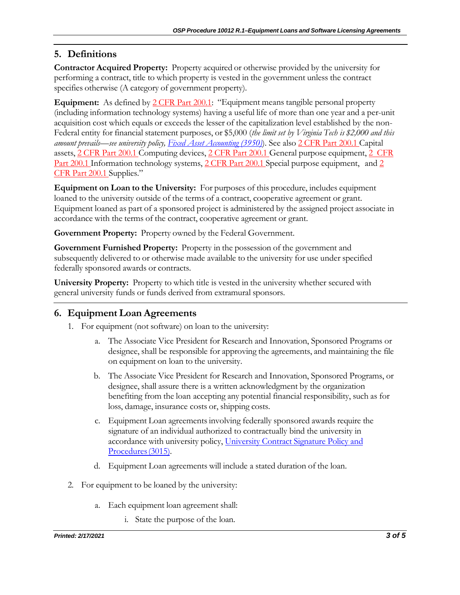# <span id="page-2-0"></span>**5. Definitions**

**Contractor Acquired Property:** Property acquired or otherwise provided by the university for performing a contract, title to which property is vested in the government unless the contract specifies otherwise (A category of government property).

**Equipment:** As defined by [2 CFR](http://www.ecfr.gov/cgi-bin/text-idx?node=2%3A1.1.2.2.1&amp%3Bse2.1.200_133) Part 200.1: "Equipment means tangible personal property (including information technology systems) having a useful life of more than one year and a per-unit acquisition cost which equals or exceeds the lesser of the capitalization level established by the non-Federal entity for financial statement purposes, or \$5,000 (*the limit set by Virginia Tech is \$2,000 and this amount prevails—see university policy, Fixed Asset [Accounting](http://www.policies.vt.edu/3950.pdf) (3950)*). See als[o 2 CFR](http://www.ecfr.gov/cgi-bin/text-idx?node=2%3A1.1.2.2.1&amp%3Bse2.1.200_112) Part 200.1 Capital assets, [2 CFR](http://www.ecfr.gov/cgi-bin/text-idx?node=2%3A1.1.2.2.1&amp%3Bse2.1.200_120) Part 200.1 Computing devices, [2 CFR](http://www.ecfr.gov/cgi-bin/text-idx?node=2%3A1.1.2.2.1&amp%3Bse2.1.200_148) Part 200.1 General purpose equipment, [2 CFR](http://www.ecfr.gov/cgi-bin/text-idx?node=2%3A1.1.2.2.1&amp%3Bse2.1.200_158) Part [200.1](http://www.ecfr.gov/cgi-bin/text-idx?node=2%3A1.1.2.2.1&amp%3Bse2.1.200_158) Information technology systems, [2 CFR](http://www.ecfr.gov/cgi-bin/text-idx?node=2%3A1.1.2.2.1&amp%3Bse2.1.200_189) Part [2](http://www.ecfr.gov/cgi-bin/text-idx?node=2%3A1.1.2.2.1&amp%3Bse2.1.200_194)00.1 Special purpose equipment, and 2 CFR Part [200.1](http://www.ecfr.gov/cgi-bin/text-idx?node=2%3A1.1.2.2.1&amp%3Bse2.1.200_194) Supplies."

**Equipment on Loan to the University:** For purposes of this procedure, includes equipment loaned to the university outside of the terms of a contract, cooperative agreement or grant. Equipment loaned as part of a sponsored project is administered by the assigned project associate in accordance with the terms of the contract, cooperative agreement or grant.

**Government Property:** Property owned by the Federal Government.

**Government Furnished Property:** Property in the possession of the government and subsequently delivered to or otherwise made available to the university for use under specified federally sponsored awards or contracts.

**University Property:** Property to which title is vested in the university whether secured with general university funds or funds derived from extramural sponsors.

# <span id="page-2-1"></span>**6. Equipment Loan Agreements**

- 1. For equipment (not software) on loan to the university:
	- a. The Associate Vice President for Research and Innovation, Sponsored Programs or designee, shall be responsible for approving the agreements, and maintaining the file on equipment on loan to the university.
	- b. The Associate Vice President for Research and Innovation, Sponsored Programs, or designee, shall assure there is a written acknowledgment by the organization benefiting from the loan accepting any potential financial responsibility, such as for loss, damage, insurance costs or, shipping costs.
	- c. Equipment Loan agreementsinvolving federally sponsored awards require the signature of an individual authorized to contractually bind the university in accordance with university policy, [University](http://www.policies.vt.edu/3015.pdf) Contract Signature Policy and [Procedures \(3015\).](http://www.policies.vt.edu/3015.pdf)
	- d. Equipment Loan agreements will include a stated duration of the loan.
- 2. For equipment to be loaned by the university:
	- a. Each equipment loan agreement shall:
		- i. State the purpose of the loan.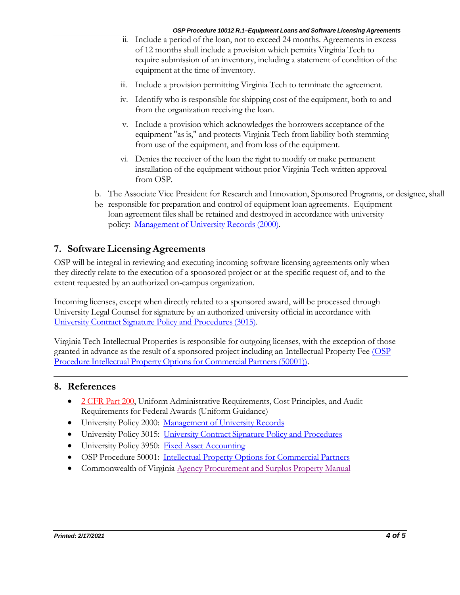- ii. Include a period of the loan, not to exceed 24 months. Agreements in excess of 12 months shall include a provision which permits Virginia Tech to require submission of an inventory, including a statement of condition of the equipment at the time of inventory.
- iii. Include a provision permitting Virginia Tech to terminate the agreement.
- iv. Identify who is responsible for shipping cost of the equipment, both to and from the organization receiving the loan.
- v. Include a provision which acknowledges the borrowers acceptance of the equipment "as is," and protects Virginia Tech from liability both stemming from use of the equipment, and from loss of the equipment.
- vi. Denies the receiver of the loan the right to modify or make permanent installation of the equipment without prior Virginia Tech written approval from OSP.
- b. The Associate Vice President for Research and Innovation, Sponsored Programs, or designee, shall
- be responsible for preparation and control of equipment loan agreements. Equipment loan agreement files shall be retained and destroyed in accordance with university policy: [Management of University Records \(2000\).](http://www.policies.vt.edu/2000.pdf)

#### <span id="page-3-0"></span>**7. Software LicensingAgreements**

OSP will be integral in reviewing and executing incoming software licensing agreements only when they directly relate to the execution of a sponsored project or at the specific request of, and to the extent requested by an authorized on-campus organization.

Incoming licenses, except when directly related to a sponsored award, will be processed through University Legal Counsel for signature by an authorized university official in accordance with University Contract Signature Policy and [Procedures\(3015\).](http://www.policies.vt.edu/3015.pdf)

Virginia Tech Intellectual Properties is responsible for outgoing licenses, with the exception of those granted in advance as the result of a sponsored project including an Intellectual Property Fee [\(OSP](http://osp.vt.edu/content/dam/osp_vt_edu/policies/osp50001.pdf)  [Procedure Intellectual](http://osp.vt.edu/content/dam/osp_vt_edu/policies/osp50001.pdf) Property Options for Commercial Partners (50001)).

#### <span id="page-3-1"></span>**8. References**

- [2 CFR](http://www.ecfr.gov/cgi-bin/text-idx?node=2%3A1.1.2.2.1) Part 200, Uniform Administrative Requirements, Cost Principles, and Audit Requirements for Federal Awards (Uniform Guidance)
- University Policy 2000: [Management of University Records](http://www.policies.vt.edu/2000.pdf)
- University Policy 3015: University Contract Signature Policy [and Procedures](http://www.policies.vt.edu/3015.pdf)
- University Policy 3950: Fixed Asset [Accounting](http://www.policies.vt.edu/3950.pdf)
- OSP Procedure 50001: Intellectual Property Options for [Commercial](http://osp.vt.edu/content/dam/osp_vt_edu/policies/osp50001.pdf) Partners
- Commonwealth of Virginia Agency Procurement [and Surplus Property](https://eva.virginia.gov/library/files/APSPM/APSPM_ALL.pdf) Manual